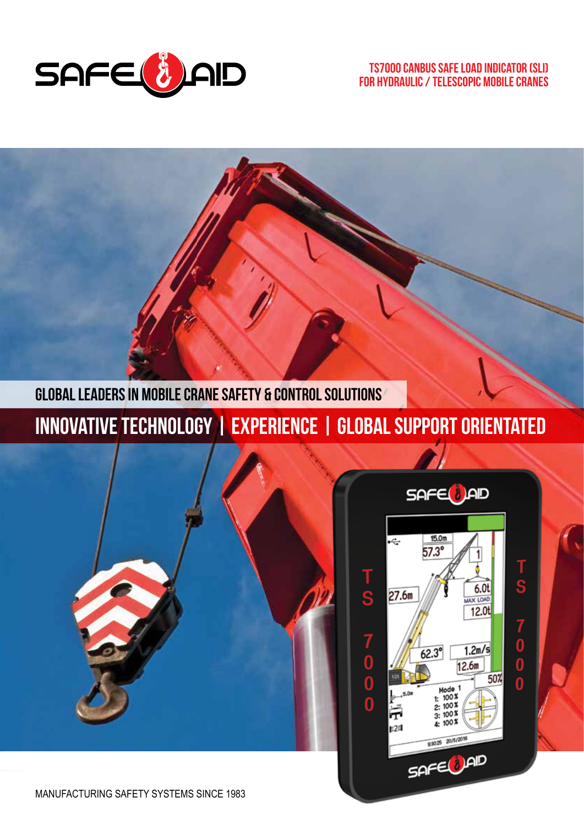

#### TS7000 CANbus Safe Load Indicator (SLI) for Hydraulic / Telescopic Mobile Cranes

**Global leaders in Mobile CRANE SAFETY & CONTROL SOLUTIONS**

**Innovative technology | Experience | Global support orientated**



15.0m  $\div$  $57.3^\circ$ s  $6.0<sub>t</sub>$  $27.6m$ MAX LOAD  $\frac{1}{12.01}$ 7 0 0<br>0 0 0  $1.2m/s$  $62.3^{\circ}$  $\frac{12.6m}{2.6m}$ 50% Mode 1<br>1:  $100 x$ <br>2:  $100 x$ <br>3:  $100 x$ <br>3:  $100 x$ p24 9:3025 20/5/2016 SAFE DAD

Т

Ś

 $\begin{matrix} 0 \\ 0 \end{matrix}$ 

 $\bar{\mathbf{0}}$ 

T

SAFE<sup>1</sup>AD

MANUFACTURING SAFETY SYSTEMS SINCE 1983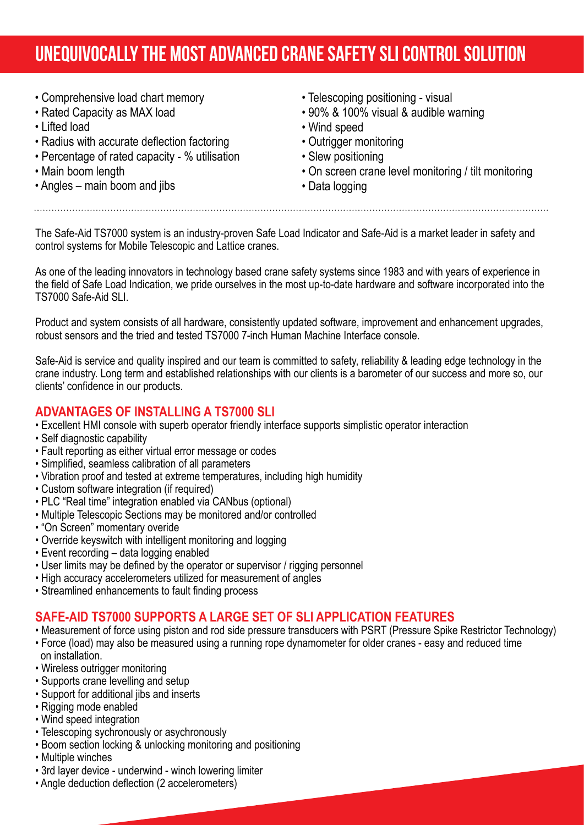# **UNEQUIVOCALLY THE MOST ADVANCED CRANE SAFETY SLI CONTROL SOLUTION**

- Comprehensive load chart memory
- Rated Capacity as MAX load
- Lifted load
- Radius with accurate deflection factoring
- Percentage of rated capacity % utilisation
- Main boom length
- Angles main boom and jibs
- Telescoping positioning visual
- 90% & 100% visual & audible warning
- Wind speed
- Outrigger monitoring
- Slew positioning
- On screen crane level monitoring / tilt monitoring
- Data logging

The Safe-Aid TS7000 system is an industry-proven Safe Load Indicator and Safe-Aid is a market leader in safety and control systems for Mobile Telescopic and Lattice cranes.

As one of the leading innovators in technology based crane safety systems since 1983 and with years of experience in the field of Safe Load Indication, we pride ourselves in the most up-to-date hardware and software incorporated into the TS7000 Safe-Aid SLI.

Product and system consists of all hardware, consistently updated software, improvement and enhancement upgrades, robust sensors and the tried and tested TS7000 7-inch Human Machine Interface console.

Safe-Aid is service and quality inspired and our team is committed to safety, reliability & leading edge technology in the crane industry. Long term and established relationships with our clients is a barometer of our success and more so, our clients' confidence in our products.

#### **ADVANTAGES OF INSTALLING A TS7000 SLI**

- Excellent HMI console with superb operator friendly interface supports simplistic operator interaction
- Self diagnostic capability
- Fault reporting as either virtual error message or codes
- Simplified, seamless calibration of all parameters
- Vibration proof and tested at extreme temperatures, including high humidity
- Custom software integration (if required)
- PLC "Real time" integration enabled via CANbus (optional)
- Multiple Telescopic Sections may be monitored and/or controlled
- "On Screen" momentary overide
- Override keyswitch with intelligent monitoring and logging
- Event recording data logging enabled
- User limits may be defined by the operator or supervisor / rigging personnel
- High accuracy accelerometers utilized for measurement of angles
- Streamlined enhancements to fault finding process

#### **SAFE-AID TS7000 SUPPORTS A LARGE SET OF SLI APPLICATION FEATURES**

- Measurement of force using piston and rod side pressure transducers with PSRT (Pressure Spike Restrictor Technology) • Force (load) may also be measured using a running rope dynamometer for older cranes - easy and reduced time
- on installation.
- Wireless outrigger monitoring
- Supports crane levelling and setup
- Support for additional jibs and inserts
- Rigging mode enabled
- Wind speed integration
- Telescoping sychronously or asychronously
- Boom section locking & unlocking monitoring and positioning
- Multiple winches
- 3rd layer device underwind winch lowering limiter
- Angle deduction deflection (2 accelerometers)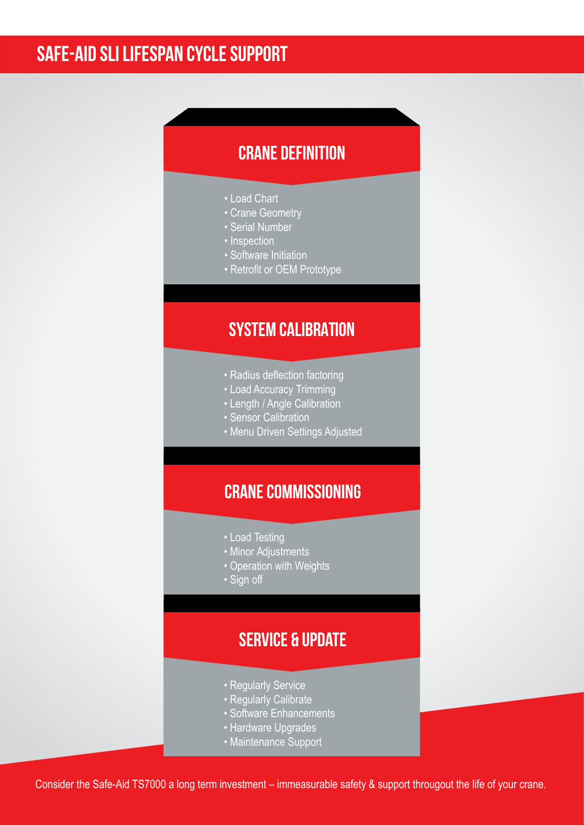## **safe-aid sli lifespan cycle support**

### **Crane definition**

- Load Chart
- Crane Geometry
- Serial Number
- Inspection
- Software Initiation
- Retrofit or OEM Prototype

### **System calibration**

- Radius deflection factoring
- Load Accuracy Trimming
- Length / Angle Calibration
- Sensor Calibration
- Menu Driven Settings Adjusted

### **Crane commissioning**

- Load Testing
- Minor Adjustments
- Operation with Weights
- Sign off

### **Service & update**

- Regularly Service
- Regularly Calibrate
- Software Enhancements
- Hardware Upgrades
- Maintenance Support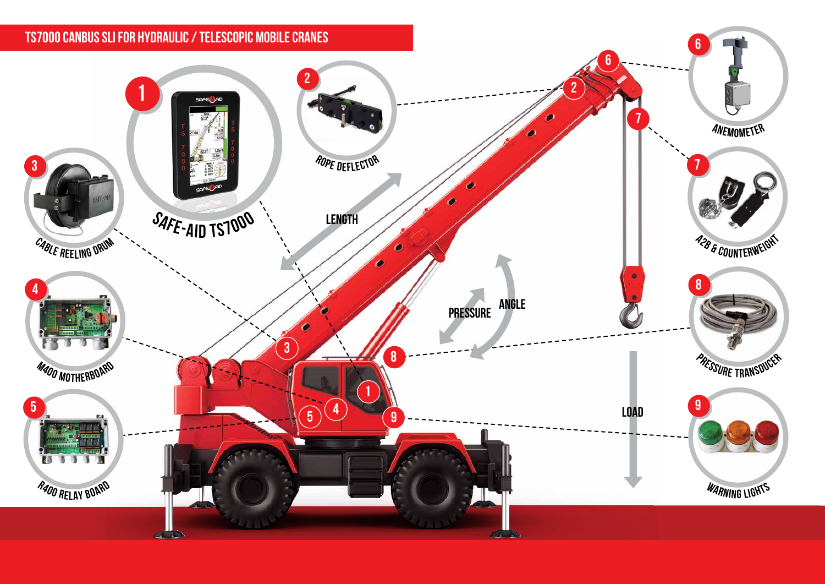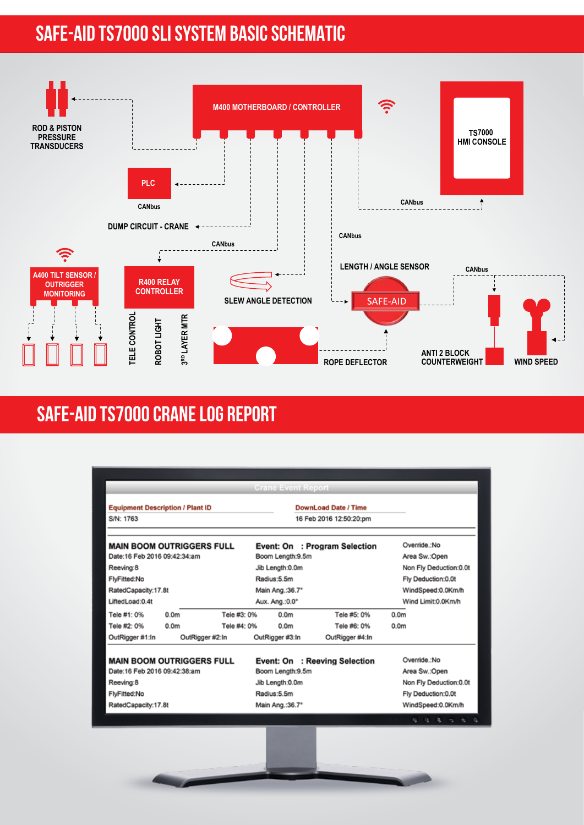# **SAFE-AID TS7000 SLI SYSTEM BASIC SCHEMATIC**



## **SAFE-AID TS7000 CRANE LOG REPORT**

|                                                                                                |                  |             | <b>Crane Event Report</b>                                                           |                               |                                                                               |
|------------------------------------------------------------------------------------------------|------------------|-------------|-------------------------------------------------------------------------------------|-------------------------------|-------------------------------------------------------------------------------|
| <b>Equipment Description / Plant ID</b><br>S/N: 1763                                           |                  |             | DownLoad Date / Time<br>16 Feb 2016 12:50:20:pm                                     |                               |                                                                               |
| <b>MAIN BOOM OUTRIGGERS FULL</b>                                                               |                  |             |                                                                                     | Event: On : Program Selection | Override.:No                                                                  |
| Date:16 Feb 2016 09:42:34:am                                                                   |                  |             | Boom Length:9.5m                                                                    |                               | Area Sw.:Open                                                                 |
| Reeving:8                                                                                      |                  |             | Jib Length:0.0m                                                                     |                               | Non Fly Deduction:0.0t                                                        |
| FlyFitted:No                                                                                   |                  |             | Radius:5.5m                                                                         |                               | Fly Deduction:0.0t                                                            |
| RatedCapacity:17.8t<br>LiftedLoad:0.4t                                                         |                  |             | Main Ang.: 36.7*<br>Aux. Ang.: 0.0°                                                 |                               | WindSpeed:0.0Km/h<br>Wind Limit:0.0Km/h                                       |
| Tele #1: 0%                                                                                    | 0.0 <sub>m</sub> | Tele #3: 0% | 0.0 <sub>m</sub>                                                                    | Tele #5: 0%                   | 0.0 <sub>m</sub>                                                              |
| Tele #2: 0%                                                                                    | 0.0 <sub>m</sub> | Tele #4: 0% | 0.0 <sub>m</sub>                                                                    | Tele #6: 0%                   | 0.0 <sub>m</sub>                                                              |
| OutRigger #1:In                                                                                | OutRigger #2:In  |             | OutRigger #3:In                                                                     | OutRigger #4:In               |                                                                               |
| <b>MAIN BOOM OUTRIGGERS FULL</b><br>Date: 16 Feb 2016 09:42:38:am<br>Reeving:8<br>FlyFitted:No |                  |             | Event: On : Reeving Selection<br>Boom Length:9.5m<br>Jib Length:0.0m<br>Radius:5.5m |                               | Override.:No<br>Area Sw.:Open<br>Non Fly Deduction:0.0t<br>Fly Deduction:0.0t |
| RatedCapacity:17.8t                                                                            |                  |             | Main Ang.: 36.7°                                                                    |                               | WindSpeed:0.0Km/h                                                             |
|                                                                                                |                  |             |                                                                                     |                               | 9 <sub>1</sub><br>i Q.<br>市.<br><b>Q</b>                                      |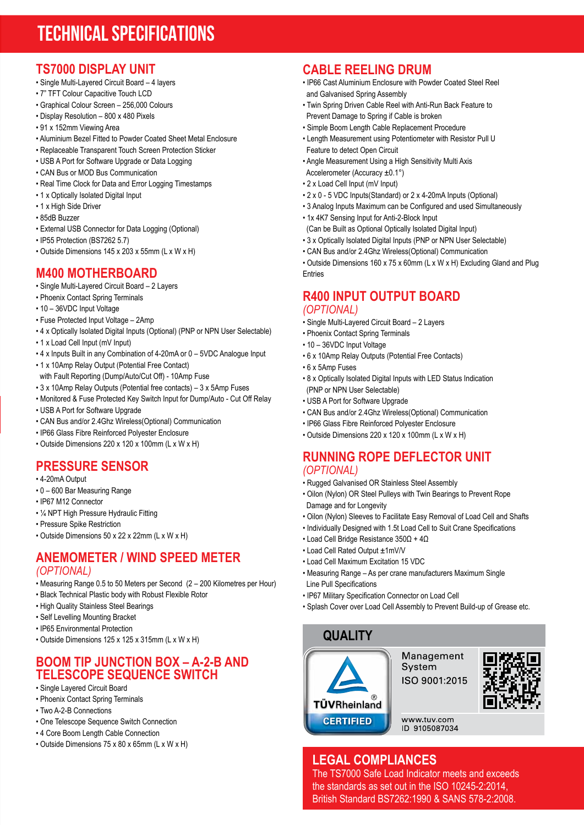# **TECHNICAL SPECIFICATIONS**

#### **TS7000 DISPLAY UNIT**

- Single Multi-Layered Circuit Board 4 layers
- 7" TFT Colour Capacitive Touch LCD
- Graphical Colour Screen 256,000 Colours
- Display Resolution 800 x 480 Pixels
- 91 x 152mm Viewing Area
- Aluminium Bezel Fitted to Powder Coated Sheet Metal Enclosure
- Replaceable Transparent Touch Screen Protection Sticker
- USB A Port for Software Upgrade or Data Logging
- CAN Bus or MOD Bus Communication
- Real Time Clock for Data and Error Logging Timestamps
- 1 x Optically Isolated Digital Input
- 1 x High Side Driver
- 85dB Buzzer
- External USB Connector for Data Logging (Optional)
- IP55 Protection (BS7262 5.7)
- Outside Dimensions 145 x 203 x 55mm (L x W x H)

#### **M400 MOTHERBOARD**

- Single Multi-Layered Circuit Board 2 Layers
- Phoenix Contact Spring Terminals
- 10 36VDC Input Voltage
- Fuse Protected Input Voltage 2Amp
- 4 x Optically Isolated Digital Inputs (Optional) (PNP or NPN User Selectable)
- 1 x Load Cell Input (mV Input)
- 4 x Inputs Built in any Combination of 4-20mA or 0 5VDC Analogue Input
- 1 x 10Amp Relay Output (Potential Free Contact)
- with Fault Reporting (Dump/Auto/Cut Off) 10Amp Fuse
- 3 x 10Amp Relay Outputs (Potential free contacts) 3 x 5Amp Fuses
- Monitored & Fuse Protected Key Switch Input for Dump/Auto Cut Off Relay
- USB A Port for Software Upgrade
- CAN Bus and/or 2.4Ghz Wireless(Optional) Communication
- IP66 Glass Fibre Reinforced Polyester Enclosure
- Outside Dimensions 220 x 120 x 100mm (L x W x H)

#### **PRESSURE SENSOR**

- 4-20mA Output
- 0 600 Bar Measuring Range
- IP67 M12 Connector
- 1/4 NPT High Pressure Hydraulic Fitting
- Pressure Spike Restriction
- Outside Dimensions 50 x 22 x 22mm (L x W x H)

#### **ANEMOMETER / WIND SPEED METER** *(OPTIONAL)*

- Measuring Range 0.5 to 50 Meters per Second (2 200 Kilometres per Hour)
- Black Technical Plastic body with Robust Flexible Rotor
- High Quality Stainless Steel Bearings
- Self Levelling Mounting Bracket
- IP65 Environmental Protection
- Outside Dimensions 125 x 125 x 315mm (L x W x H)

#### **BOOM TIP JUNCTION BOX – A-2-B AND TELESCOPE SEQUENCE SWITCH**

- Single Layered Circuit Board
- Phoenix Contact Spring Terminals
- Two A-2-B Connections
- One Telescope Sequence Switch Connection
- 4 Core Boom Length Cable Connection
- Outside Dimensions 75 x 80 x 65mm (L x W x H)

### **CABLE REELING DRUM**

- IP66 Cast Aluminium Enclosure with Powder Coated Steel Reel and Galvanised Spring Assembly
- Twin Spring Driven Cable Reel with Anti-Run Back Feature to Prevent Damage to Spring if Cable is broken
- Simple Boom Length Cable Replacement Procedure
- Length Measurement using Potentiometer with Resistor Pull U Feature to detect Open Circuit
- Angle Measurement Using a High Sensitivity Multi Axis Accelerometer (Accuracy ±0.1°)
- 2 x Load Cell Input (mV Input)
- 2 x 0 5 VDC Inputs(Standard) or 2 x 4-20mA Inputs (Optional)
- 3 Analog Inputs Maximum can be Configured and used Simultaneously
- 1x 4K7 Sensing Input for Anti-2-Block Input
- (Can be Built as Optional Optically Isolated Digital Input)
- 3 x Optically Isolated Digital Inputs (PNP or NPN User Selectable)
- CAN Bus and/or 2.4Ghz Wireless(Optional) Communication

• Outside Dimensions 160 x 75 x 60mm (L x W x H) Excluding Gland and Plug Entries

#### **R400 INPUT OUTPUT BOARD** *(OPTIONAL)*

- Single Multi-Layered Circuit Board 2 Layers
- Phoenix Contact Spring Terminals
- 10 36VDC Input Voltage
- 6 x 10Amp Relay Outputs (Potential Free Contacts)
- 6 x 5Amp Fuses
- 8 x Optically Isolated Digital Inputs with LED Status Indication (PNP or NPN User Selectable)
- USB A Port for Software Upgrade
- CAN Bus and/or 2.4Ghz Wireless(Optional) Communication
- IP66 Glass Fibre Reinforced Polyester Enclosure
- Outside Dimensions 220 x 120 x 100mm (L x W x H)

#### **RUNNING ROPE DEFLECTOR UNIT** *(OPTIONAL)*

- Rugged Galvanised OR Stainless Steel Assembly
- Oilon (Nylon) OR Steel Pulleys with Twin Bearings to Prevent Rope Damage and for Longevity
- Oilon (Nylon) Sleeves to Facilitate Easy Removal of Load Cell and Shafts
- Individually Designed with 1.5t Load Cell to Suit Crane Specifications
- Load Cell Bridge Resistance 350Ω + 4Ω
- Load Cell Rated Output ±1mV/V
- Load Cell Maximum Excitation 15 VDC
- Measuring Range As per crane manufacturers Maximum Single Line Pull Specifications
- IP67 Military Specification Connector on Load Cell
- Splash Cover over Load Cell Assembly to Prevent Build-up of Grease etc.



#### **LEGAL COMPLIANCES**

The TS7000 Safe Load Indicator meets and exceeds the standards as set out in the ISO 10245-2:2014, British Standard BS7262:1990 & SANS 578-2:2008.